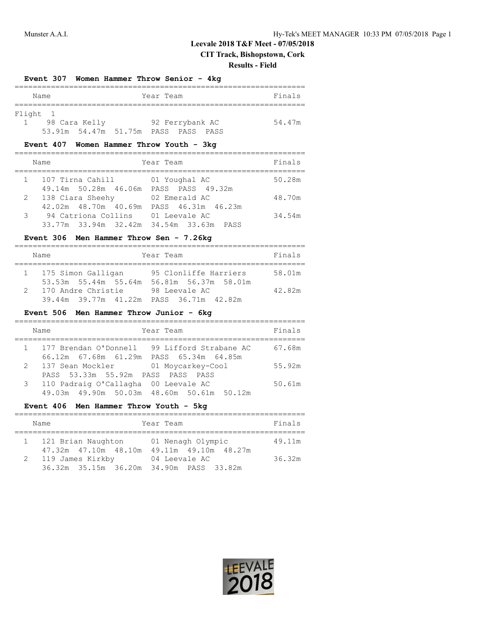**CIT Track, Bishopstown, Cork**

#### **Results - Field**

#### **Event 307 Women Hammer Throw Senior - 4kg**

|          | Name |               |                                | Year Team |                 |      | Finals |
|----------|------|---------------|--------------------------------|-----------|-----------------|------|--------|
|          |      |               |                                |           |                 |      |        |
| Flight 1 |      |               |                                |           |                 |      |        |
|          |      | 98 Cara Kelly |                                |           | 92 Ferrybank AC |      | 54.47m |
|          |      |               | 53.91m 54.47m 51.75m PASS PASS |           |                 | PASS |        |

#### **Event 407 Women Hammer Throw Youth - 3kg**

|   | Name                                                                                     | Year Team                           | Finals |
|---|------------------------------------------------------------------------------------------|-------------------------------------|--------|
|   | 1 107 Tirna Cahill<br>49.14m 50.28m 46.06m PASS PASS 49.32m                              | 01 Youghal AC                       | 50.28m |
|   | 2 138 Ciara Sheehy                                                                       | 02 Emerald AC                       | 48.70m |
| 3 | 42.02m  48.70m  40.69m<br>94 Catriona Collins<br>33.77m 33.94m 32.42m 34.54m 33.63m PASS | PASS 46.31m 46.23m<br>01 Leevale AC | 34.54m |

#### **Event 306 Men Hammer Throw Sen - 7.26kg**

|               | Name                                                          | Year Team                                     | Finals |
|---------------|---------------------------------------------------------------|-----------------------------------------------|--------|
|               | 1 175 Simon Galligan<br>53.53m 55.44m 55.64m                  | 95 Clonliffe Harriers<br>56.81m 56.37m 58.01m | 58.01m |
| $\mathcal{P}$ | 170 Andre Christie<br>39.44m 39.77m 41.22m PASS 36.71m 42.82m | 98 Leevale AC                                 | 42.82m |

## **Event 506 Men Hammer Throw Junior - 6kg**

| Year Team<br>Name                                                                         | Finals |
|-------------------------------------------------------------------------------------------|--------|
| 1 177 Brendan O'Donnell 99 Lifford Strabane AC<br>66.12m 67.68m 61.29m PASS 65.34m 64.85m | 67.68m |
| 2 137 Sean Mockler 01 Moycarkey-Cool<br>PASS 53.33m 55.92m PASS PASS PASS                 | 55.92m |
| 3 110 Padraig O'Callagha 00 Leevale AC<br>49.03m  49.90m  50.03m  48.60m  50.61m  50.12m  | 50.61m |

#### **Event 406 Men Hammer Throw Youth - 5kg**

|   | Name               | Year Team                                                      | Finals |
|---|--------------------|----------------------------------------------------------------|--------|
|   | 121 Brian Naughton | 01 Nenagh Olympic<br>47.32m 47.10m 48.10m 49.11m 49.10m 48.27m | 49.11m |
| 2 | 119 James Kirkby   | 04 Leevale AC<br>36.32m 35.15m 36.20m 34.90m PASS 33.82m       | 36.32m |

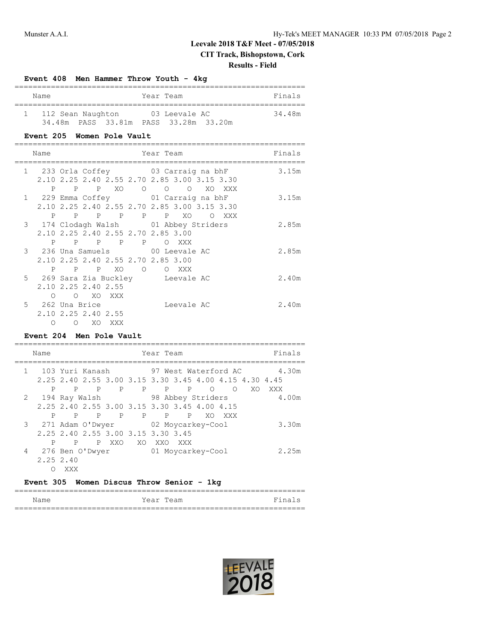# **CIT Track, Bishopstown, Cork**

## **Results - Field**

#### **Event 408 Men Hammer Throw Youth - 4kg**

| Name              |                    | Year Team          |  | Finals |
|-------------------|--------------------|--------------------|--|--------|
|                   |                    |                    |  |        |
| 112 Sean Naughton |                    | 03 Leevale AC      |  | 34.48m |
|                   | 34.48m PASS 33.81m | PASS 33.28m 33.20m |  |        |

### **Event 205 Women Pole Vault**

| Name                                  |                     |        | Year Team                          |                                              |  | Finals |
|---------------------------------------|---------------------|--------|------------------------------------|----------------------------------------------|--|--------|
| 1 233 Orla Coffey 03 Carraig na bhF   |                     |        |                                    |                                              |  | 3.15m  |
|                                       |                     |        |                                    | 2.10 2.25 2.40 2.55 2.70 2.85 3.00 3.15 3.30 |  |        |
|                                       |                     |        |                                    | P P P XO O O O XO XXX                        |  |        |
| 1 229 Emma Coffey 01 Carraig na bhF   |                     |        |                                    |                                              |  | 3.15m  |
|                                       |                     |        |                                    | 2.10 2.25 2.40 2.55 2.70 2.85 3.00 3.15 3.30 |  |        |
|                                       |                     |        |                                    | P P P P P P XO O XXX                         |  |        |
| 3 174 Clodagh Walsh 01 Abbey Striders |                     |        |                                    |                                              |  | 2.85m  |
|                                       |                     |        | 2.10 2.25 2.40 2.55 2.70 2.85 3.00 |                                              |  |        |
| P                                     |                     |        | P P P P O XXX                      |                                              |  |        |
| 3 236 Una Samuels 00 Leevale AC       |                     |        |                                    |                                              |  | 2.85m  |
|                                       |                     |        | 2.10 2.25 2.40 2.55 2.70 2.85 3.00 |                                              |  |        |
|                                       |                     |        | P P P XO O O XXX                   |                                              |  |        |
| 5 269 Sara Zia Buckley beevale AC     |                     |        |                                    |                                              |  | 2.40m  |
|                                       | 2.10 2.25 2.40 2.55 |        |                                    |                                              |  |        |
|                                       | O O XO XXX          |        |                                    |                                              |  |        |
| 5 262 Una Brice                       |                     |        |                                    | Leevale AC                                   |  | 2.40m  |
|                                       | 2.10 2.25 2.40 2.55 |        |                                    |                                              |  |        |
| ∩                                     | $\circ$             | XO XXX |                                    |                                              |  |        |

#### **Event 204 Men Pole Vault**

|              | Name      |     |   |              | Finals<br>Year Team                                                                                                |
|--------------|-----------|-----|---|--------------|--------------------------------------------------------------------------------------------------------------------|
| $\mathbf{1}$ |           |     |   |              | 103 Yuri Kanash 97 West Waterford AC<br>4.30m<br>2, 25 2, 40 2, 55 3, 00 3, 15 3, 30 3, 45 4, 00 4, 15 4, 30 4, 45 |
|              | P         | P   |   |              | P P P P P<br>$\circ$<br>$\bigcirc$<br>XO.<br>XXX<br>2 194 Ray Walsh 98 Abbey Striders<br>4.00m                     |
|              | P         | P   | P | $\mathbf{P}$ | 2.25 2.40 2.55 3.00 3.15 3.30 3.45 4.00 4.15<br>P P<br>P<br>XO.<br>XXX                                             |
|              |           |     |   |              | 3 271 Adam O'Dwyer 02 Moycarkey-Cool<br>3.30m<br>2.25 2.40 2.55 3.00 3.15 3.30 3.45                                |
|              | P         | P   |   | P XXO        | XO XXO<br>XXX X                                                                                                    |
| 4            | 2.25 2.40 |     |   |              | 2.25m                                                                                                              |
|              |           | XXX |   |              |                                                                                                                    |

## **Event 305 Women Discus Throw Senior - 1kg**

| Name | Year Team | Fina<br>---- |
|------|-----------|--------------|
|      |           |              |

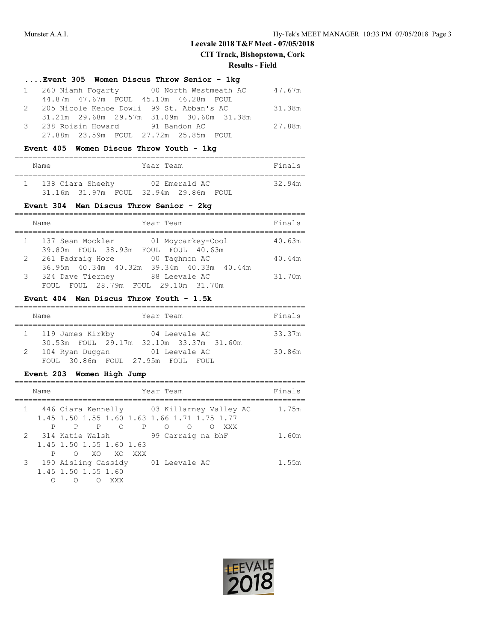**CIT Track, Bishopstown, Cork**

#### **Results - Field**

| Event 305 Women Discus Throw Senior - 1kg  |        |
|--------------------------------------------|--------|
| 1 260 Niamh Fogarty 00 North Westmeath AC  | 47.67m |
| 44.87m 47.67m FOUL 45.10m 46.28m FOUL      |        |
| 2 205 Nicole Kehoe Dowli 99 St. Abban's AC | 31.38m |
| 31.21m 29.68m 29.57m 31.09m 30.60m 31.38m  |        |
| 3 238 Roisin Howard 91 Bandon AC           | 27.88m |
| 27.88m  23.59m  FOUL  27.72m  25.85m  FOUL |        |

## **Event 405 Women Discus Throw Youth - 1kg**

| Name |                    | Year Team |                    |  | Finals |
|------|--------------------|-----------|--------------------|--|--------|
|      | 138 Ciara Sheehy   |           | 02 Emerald AC      |  | 32.94m |
|      | 31.16m 31.97m FOUL |           | 32.94m 29.86m FOUL |  |        |

# **Event 304 Men Discus Throw Senior - 2kg**

|   | Year Team<br>Name                                                              | Finals |
|---|--------------------------------------------------------------------------------|--------|
|   | 137 Sean Mockler<br>01 Moycarkey-Cool<br>39.80m FOUL 38.93m FOUL FOUL 40.63m   | 40.63m |
| 2 | 261 Padraig Hore<br>00 Taghmon AC<br>36.95m 40.34m 40.32m 39.34m 40.33m 40.44m | 40.44m |
| 3 | 324 Dave Tierney<br>88 Leevale AC<br>FOUL 28.79m FOUL 29.10m 31.70m<br>FOIIT.  | 31.70m |

# **Event 404 Men Discus Throw Youth - 1.5k**

|   | Name                                                        | Year Team              | Finals |
|---|-------------------------------------------------------------|------------------------|--------|
|   | 119 James Kirkby<br>30.53m FOUL 29.17m 32.10m 33.37m 31.60m | 04 Leevale AC          | 33.37m |
| 2 | 104 Ryan Duqqan<br>FOUL 30.86m FOUL 27.95m FOUL             | 01 Leevale AC<br>FOUL. | 30.86m |

## **Event 203 Women High Jump**

| Name |                                                                         | Year Team                                                                    | Finals |
|------|-------------------------------------------------------------------------|------------------------------------------------------------------------------|--------|
|      | 1.45 1.50 1.55 1.60 1.63 1.66 1.71 1.75 1.77<br>P P O P O               | 1 446 Ciara Kennelly 63 Killarney Valley AC<br>$\bigcirc$<br><b>XXX</b><br>∩ | 1.75m  |
| P    | 2 314 Katie Walsh<br>1.45 1.50 1.55 1.60 1.63<br>XO XO XXX<br>$\circ$   | 99 Carraig na bhF                                                            | 1.60m  |
|      | 3 190 Aisling Cassidy<br>1.45 1.50 1.55 1.60<br>XXX<br>$\left( \right)$ | 01 Leevale AC                                                                | 1.55m  |

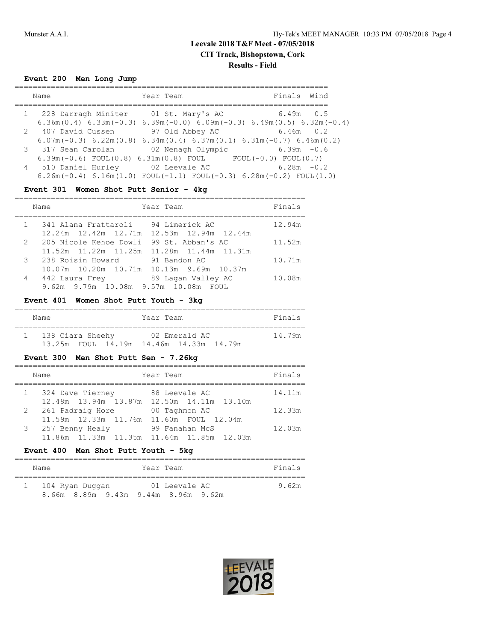# **Leevale 2018 T&F Meet - 07/05/2018 CIT Track, Bishopstown, Cork Results - Field**

**Event 200 Men Long Jump**

| Name                                                                | Year Team         | Finals Wind                                                                                                                 |
|---------------------------------------------------------------------|-------------------|-----------------------------------------------------------------------------------------------------------------------------|
| 1 228 Darragh Miniter 01 St. Mary's AC                              |                   | $6.49m$ 0.5<br>$6.36$ m $(0.4)$ 6.33 m $(-0.3)$ 6.39 m $(-0.0)$ 6.09 m $(-0.3)$ 6.49 m $(0.5)$ 6.32 m $(-0.4)$              |
| 2 407 David Cussen                                                  | 97 Old Abbey AC   | 6.46m 0.2                                                                                                                   |
| 3 317 Sean Carolan                                                  | 02 Nenagh Olympic | $6.07$ m( $-0.3$ ) $6.22$ m( $0.8$ ) $6.34$ m( $0.4$ ) $6.37$ m( $0.1$ ) $6.31$ m( $-0.7$ ) $6.46$ m( $0.2$ )<br>6.39m -0.6 |
| $6.39m(-0.6)$ FOUL $(0.8)$ $6.31m(0.8)$ FOUL<br>4 510 Daniel Hurley | 02 Leevale AC     | $FOUL(-0.0) FOUL(0.7)$<br>$6.28m - 0.2$                                                                                     |
|                                                                     |                   | $6.26$ m(-0.4) $6.16$ m(1.0) FOUL(-1.1) FOUL(-0.3) $6.28$ m(-0.2) FOUL(1.0)                                                 |

## **Event 301 Women Shot Putt Senior - 4kg**

| Year Team<br>Name                              | Finals |
|------------------------------------------------|--------|
| 341 Alana Frattaroli 94 Limerick AC            | 12.94m |
| 12.24m  12.42m  12.71m  12.53m  12.94m  12.44m |        |
| 2 205 Nicole Kehoe Dowli<br>99 St. Abban's AC  | 11.52m |
| 11.52m 11.22m 11.25m<br>11.28m  11.44m  11.31m |        |
| 3 238 Roisin Howard<br>91 Bandon AC            | 10.71m |
| 10.07m  10.20m  10.71m  10.13m  9.69m  10.37m  |        |
| 89 Lagan Valley AC<br>4 442 Laura Frey         | 10.08m |
| 9.62m 9.79m 10.08m 9.57m 10.08m FOUL           |        |

## **Event 401 Women Shot Putt Youth - 3kg**

| Name             |  | Year Team |                                         |  | Finals |
|------------------|--|-----------|-----------------------------------------|--|--------|
| 138 Ciara Sheehy |  |           | 02 Emerald AC                           |  | 14.79m |
|                  |  |           | 13.25m FOUL 14.19m 14.46m 14.33m 14.79m |  |        |

## **Event 300 Men Shot Putt Sen - 7.26kg**

| Name                                                         | Year Team                                                   | Finals |
|--------------------------------------------------------------|-------------------------------------------------------------|--------|
| 1 324 Dave Tierney                                           | 88 Leevale AC<br>12.48m 13.94m 13.87m 12.50m 14.11m 13.10m  | 14.11m |
| 2 261 Padraig Hore                                           | 00 Taghmon AC                                               | 12.33m |
| 11.59m 12.33m 11.76m 11.60m FOUL 12.04m<br>3 257 Benny Healy | 99 Fanahan McS<br>11.86m 11.33m 11.35m 11.64m 11.85m 12.03m | 12.03m |

# **Event 400 Men Shot Putt Youth - 5kg**

| Name                                | Year Team |               | Finals |
|-------------------------------------|-----------|---------------|--------|
| 104 Ryan Duqqan                     |           | 01 Leevale AC | 9.62m  |
| 8.66m 8.89m 9.43m 9.44m 8.96m 9.62m |           |               |        |

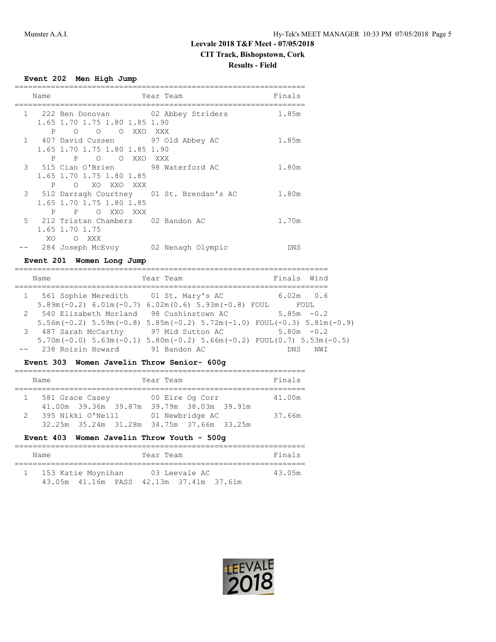# **Leevale 2018 T&F Meet - 07/05/2018 CIT Track, Bishopstown, Cork Results - Field**

**Event 202 Men High Jump**

| Name |              |                                            | Year Team         | Finals |
|------|--------------|--------------------------------------------|-------------------|--------|
|      |              | 1 222 Ben Donovan 02 Abbey Striders        |                   | 1.85m  |
|      |              | 1.65 1.70 1.75 1.80 1.85 1.90              |                   |        |
|      | $\mathbf{P}$ | OOOOXXOXXX                                 |                   |        |
|      |              | 1 407 David Cussen 97 Old Abbey AC         |                   | 1.85m  |
|      |              | 1.65 1.70 1.75 1.80 1.85 1.90              |                   |        |
|      |              | P P O<br>O XXO                             | XXX X             |        |
|      |              | 3 515 Cian O'Brien 98 Waterford AC         |                   | 1.80m  |
|      |              | 1.65 1.70 1.75 1.80 1.85                   |                   |        |
|      | $\mathbf{P}$ | O XO XXO XXX                               |                   |        |
|      |              | 3 512 Darragh Courtney 01 St. Brendan's AC |                   | 1.80m  |
|      |              | 1.65 1.70 1.75 1.80 1.85                   |                   |        |
|      | $\mathbf{P}$ | O XXO<br>P<br>XXX                          |                   |        |
|      |              | 5 212 Tristan Chambers 02 Bandon AC        |                   | 1.70m  |
|      |              | 1.65 1.70 1.75                             |                   |        |
|      | XO.          | O XXX                                      |                   |        |
|      |              | 284 Joseph McEvoy                          | 02 Nenagh Olympic | DNS    |

# **Event 201 Women Long Jump**

| Name                                                                                                                                       | Year Team        | Finals Wind           |
|--------------------------------------------------------------------------------------------------------------------------------------------|------------------|-----------------------|
| 1 561 Sophie Meredith 01 St. Mary's AC<br>$5.89m(-0.2) 6.01m(-0.7) 6.02m(0.6) 5.93m(-0.8) FOUT$                                            |                  | $6.02m$ $0.6$<br>FOUL |
| 2 540 Elizabeth Morland 98 Cushinstown AC<br>$5.56$ m (-0.2) $5.59$ m (-0.8) $5.85$ m (-0.2) $5.72$ m (-1.0) $F0UL$ (-0.3) $5.81$ m (-0.9) |                  | $5.85m - 0.2$         |
| 3 487 Sarah McCarthy                                                                                                                       | 97 Mid Sutton AC | $5.80m - 0.2$         |
| $5.70$ m(-0.0) $5.63$ m(-0.1) $5.80$ m(-0.2) $5.66$ m(-0.2) $FOUT(0.7)$ $5.53$ m(-0.5)<br>238 Roisin Howard                                | 91 Bandon AC     | DN S<br>NW T          |

## **Event 303 Women Javelin Throw Senior- 600g**

|                | Name                                                           |  | Year Team       |  | Finals |
|----------------|----------------------------------------------------------------|--|-----------------|--|--------|
|                | 1 581 Grace Casey<br>41.00m 39.36m 39.87m 39.79m 38.03m 39.91m |  | 00 Eire Og Corr |  | 41.00m |
| $\overline{2}$ | 395 Nikki O'Neill<br>32.25m 35.24m 31.28m 34.75m 37.66m 33.25m |  | 01 Newbridge AC |  | 37.66m |

# **Event 403 Women Javelin Throw Youth - 500g**

| Name |                    |  | Year Team |               |                                         | Finals |  |
|------|--------------------|--|-----------|---------------|-----------------------------------------|--------|--|
|      | 153 Katie Moynihan |  |           | 03 Leevale AC |                                         | 43.05m |  |
|      |                    |  |           |               | 43.05m 41.16m PASS 42.13m 37.41m 37.61m |        |  |